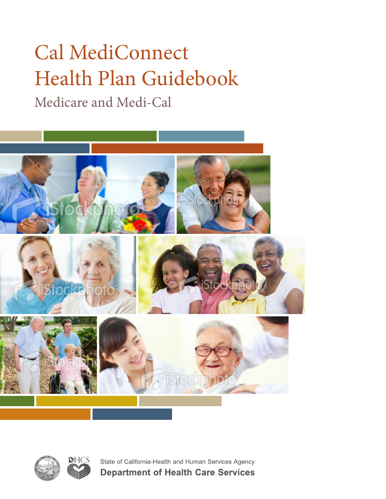# Cal MediConnect Health Plan Guidebook

Medicare and Medi-Cal







State of California-Health and Human Services Agency **Department of Health Care Services**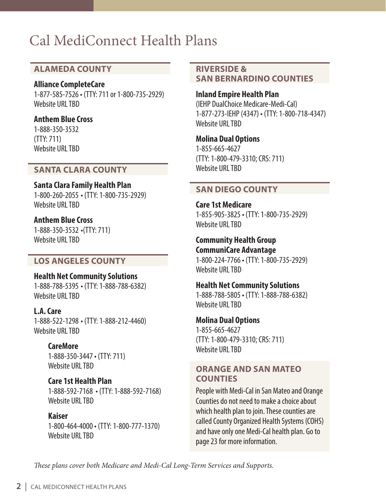### Cal MediConnect Health Plans

#### **ALAMEDA COUNTY**

#### **Alliance CompleteCare**

1-877-585-7526 • (TTY: 711 or 1-800-735-2929) Website URL TBD

#### **Anthem Blue Cross**

1-888-350-3532 (TTY: 711) Website URL TBD

#### **SANTA CLARA COUNTY**

**Santa Clara Family Health Plan** 1-800-260-2055 • (TTY: 1-800-735-2929) Website URL TBD

**Anthem Blue Cross** 1-888-350-3532 •(TTY: 711) Website URL TBD

#### **LOS ANGELES COUNTY**

**Health Net Community Solutions** 1-888-788-5395 • (TTY: 1-888-788-6382) Website URL TRD

**L.A. Care**  1-888-522-1298 • (TTY: 1-888-212-4460) Website URL TRD

> **CareMore**  1-888-350-3447 • (TTY: 711) Website URL TBD

**Care 1st Health Plan** 1-888-592-7168 • (TTY: 1-888-592-7168) Website URL TBD

**Kaiser** 1-800-464-4000 • (TTY: 1-800-777-1370) Website URL TBD

#### **RIVERSIDE & SAN BERNARDINO COUNTIES**

**Inland Empire Health Plan**  (IEHP DualChoice Medicare-Medi-Cal) 1-877-273-IEHP (4347) • (TTY: 1-800-718-4347) Website URL TBD

**Molina Dual Options** 1-855-665-4627 (TTY: 1-800-479-3310; CRS: 711) Website URL TBD

#### **SAN DIEGO COUNTY**

**Care 1st Medicare**  1-855-905-3825 • (TTY: 1-800-735-2929) Website URL TBD

**Community Health Group CommuniCare Advantage** 1-800-224-7766 • (TTY: 1-800-735-2929) Website URL TBD

**Health Net Community Solutions**  1-888-788-5805 • (TTY: 1-888-788-6382) Website URL TBD

**Molina Dual Options**  1-855-665-4627 (TTY: 1-800-479-3310; CRS: 711) Website URL TBD

#### **ORANGE AND SAN MATEO COUNTIES**

People with Medi-Cal in San Mateo and Orange Counties do not need to make a choice about which health plan to join. These counties are called County Organized Health Systems (COHS) and have only one Medi-Cal health plan. Go to page 23 for more information.

*These plans cover both Medicare and Medi-Cal Long-Term Services and Supports.*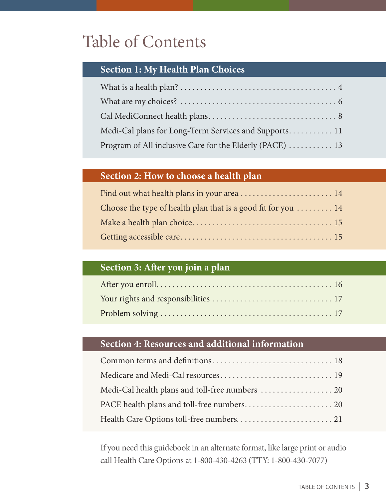## Table of Contents

#### **Section 1: My Health Plan Choices**

| Medi-Cal plans for Long-Term Services and Supports 11    |
|----------------------------------------------------------|
| Program of All inclusive Care for the Elderly (PACE)  13 |

### **Section 2: How to choose a health plan**

| Choose the type of health plan that is a good fit for you  14 |
|---------------------------------------------------------------|
|                                                               |
|                                                               |

### **Section 3: After you join a plan**

#### **Section 4: Resources and additional information**

If you need this guidebook in an alternate format, like large print or audio call Health Care Options at 1-800-430-4263 (TTY: 1-800-430-7077)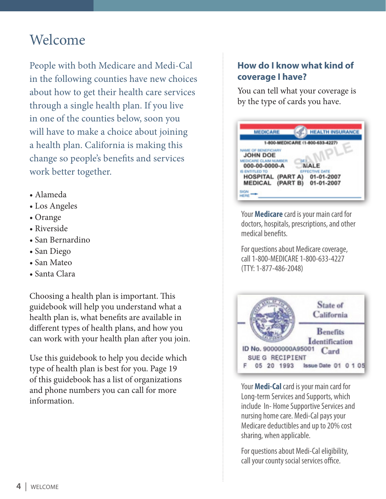### Welcome

People with both Medicare and Medi-Cal in the following counties have new choices about how to get their health care services through a single health plan. If you live in one of the counties below, soon you will have to make a choice about joining a health plan. California is making this change so people's benefits and services work better together.

- Alameda
- Los Angeles
- Orange
- Riverside
- San Bernardino
- San Diego
- San Mateo
- Santa Clara

Choosing a health plan is important. This guidebook will help you understand what a health plan is, what benefits are available in different types of health plans, and how you can work with your health plan after you join.

Use this guidebook to help you decide which type of health plan is best for you. Page 19 of this guidebook has a list of organizations and phone numbers you can call for more information.

#### **How do I know what kind of coverage I have?**

You can tell what your coverage is by the type of cards you have.



Your **Medicare** card is your main card for doctors, hospitals, prescriptions, and other medical benefits.

For questions about Medicare coverage, call 1-800‐MEDICARE 1-800-633-4227 (TTY: 1-877-486-2048)



Your **Medi-Cal** card is your main card for Long-term Services and Supports, which include In- Home Supportive Services and nursing home care. Medi-Cal pays your Medicare deductibles and up to 20% cost sharing, when applicable.

For questions about Medi-Cal eligibility, call your county social services office.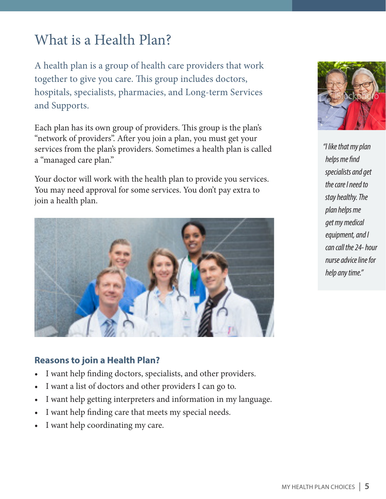### What is a Health Plan?

A health plan is a group of health care providers that work together to give you care. This group includes doctors, hospitals, specialists, pharmacies, and Long-term Services and Supports.

Each plan has its own group of providers. This group is the plan's "network of providers". After you join a plan, you must get your services from the plan's providers. Sometimes a health plan is called a "managed care plan."

Your doctor will work with the health plan to provide you services. You may need approval for some services. You don't pay extra to join a health plan.



#### **Reasons to join a Health Plan?**

- I want help finding doctors, specialists, and other providers.
- I want a list of doctors and other providers I can go to.
- I want help getting interpreters and information in my language.
- I want help finding care that meets my special needs.
- I want help coordinating my care.



*"I like that my plan helps me find specialists and get the care I need to stay healthy. The plan helps me get my medical equipment, and I can call the 24- hour nurse advice line for help any time."*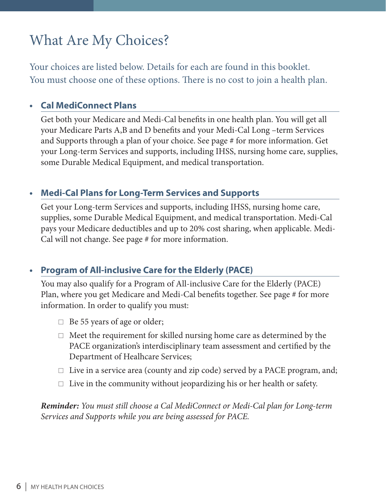### What Are My Choices?

Your choices are listed below. Details for each are found in this booklet. You must choose one of these options. There is no cost to join a health plan.

#### **• Cal MediConnect Plans**

Get both your Medicare and Medi-Cal benefits in one health plan. You will get all your Medicare Parts A,B and D benefits and your Medi-Cal Long –term Services and Supports through a plan of your choice. See page # for more information. Get your Long-term Services and supports, including IHSS, nursing home care, supplies, some Durable Medical Equipment, and medical transportation.

#### **• Medi-Cal Plans for Long-Term Services and Supports**

Get your Long-term Services and supports, including IHSS, nursing home care, supplies, some Durable Medical Equipment, and medical transportation. Medi-Cal pays your Medicare deductibles and up to 20% cost sharing, when applicable. Medi-Cal will not change. See page # for more information.

#### **• Program of All-inclusive Care for the Elderly (PACE)**

You may also qualify for a Program of All-inclusive Care for the Elderly (PACE) Plan, where you get Medicare and Medi-Cal benefits together. See page # for more information. In order to qualify you must:

- $\Box$  Be 55 years of age or older;
- $\Box$  Meet the requirement for skilled nursing home care as determined by the PACE organization's interdisciplinary team assessment and certified by the Department of Healhcare Services;
- $\Box$  Live in a service area (county and zip code) served by a PACE program, and;
- $\Box$  Live in the community without jeopardizing his or her health or safety.

*Reminder: You must still choose a Cal MediConnect or Medi-Cal plan for Long-term Services and Supports while you are being assessed for PACE.*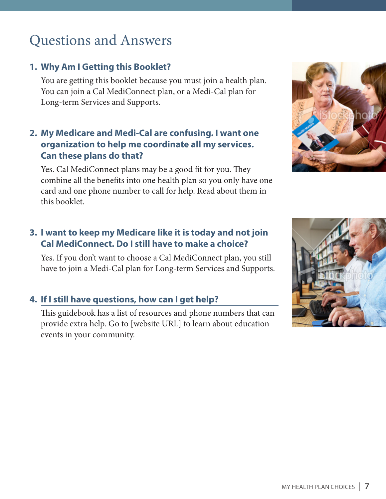### Questions and Answers

#### **1. Why Am I Getting this Booklet?**

You are getting this booklet because you must join a health plan. You can join a Cal MediConnect plan, or a Medi-Cal plan for Long-term Services and Supports.

#### **2. My Medicare and Medi-Cal are confusing. I want one organization to help me coordinate all my services. Can these plans do that?**

Yes. Cal MediConnect plans may be a good fit for you. They combine all the benefits into one health plan so you only have one card and one phone number to call for help. Read about them in this booklet.

#### **3. I want to keep my Medicare like it is today and not join Cal MediConnect. Do I still have to make a choice?**

Yes. If you don't want to choose a Cal MediConnect plan, you still have to join a Medi-Cal plan for Long-term Services and Supports.

#### **4. If I still have questions, how can I get help?**

This guidebook has a list of resources and phone numbers that can provide extra help. Go to [website URL] to learn about education events in your community.



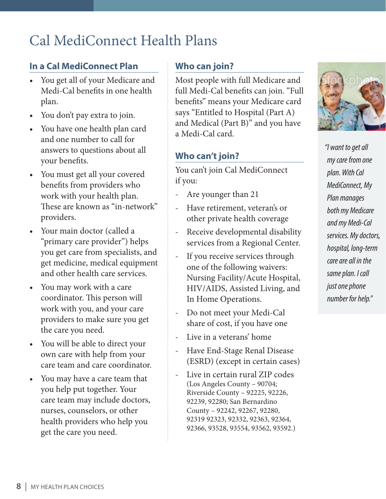### Cal MediConnect Health Plans

#### **In a Cal MediConnect Plan**

- You get all of your Medicare and Medi-Cal benefits in one health plan.
- You don't pay extra to join.
- You have one health plan card and one number to call for answers to questions about all your benefits.
- You must get all your covered benefits from providers who work with your health plan. These are known as "in-network" providers.
- Your main doctor (called a "primary care provider") helps you get care from specialists, and get medicine, medical equipment and other health care services.
- You may work with a care coordinator. This person will work with you, and your care providers to make sure you get the care you need.
- You will be able to direct your own care with help from your care team and care coordinator.
- You may have a care team that you help put together. Your care team may include doctors, nurses, counselors, or other health providers who help you get the care you need.

#### **Who can join?**

Most people with full Medicare and full Medi-Cal benefits can join. "Full benefits" means your Medicare card says "Entitled to Hospital (Part A) and Medical (Part B)" and you have a Medi-Cal card.

#### **Who can't join?**

You can't join Cal MediConnect if you:

- Are younger than 21
- Have retirement, veteran's or other private health coverage
- Receive developmental disability services from a Regional Center.
- If you receive services through one of the following waivers: Nursing Facility/Acute Hospital, HIV/AIDS, Assisted Living, and In Home Operations.
- Do not meet your Medi-Cal share of cost, if you have one
- Live in a veterans' home
- Have End-Stage Renal Disease (ESRD) (except in certain cases)
- Live in certain rural ZIP codes (Los Angeles County – 90704; Riverside County – 92225, 92226, 92239, 92280; San Bernardino County – 92242, 92267, 92280, 92319 92323, 92332, 92363, 92364, 92366, 93528, 93554, 93562, 93592.)



*"I want to get all my care from one plan. With Cal MediConnect, My Plan manages both my Medicare and my Medi-Cal services. My doctors, hospital, long-term care are all in the same plan. I call just one phone number for help."*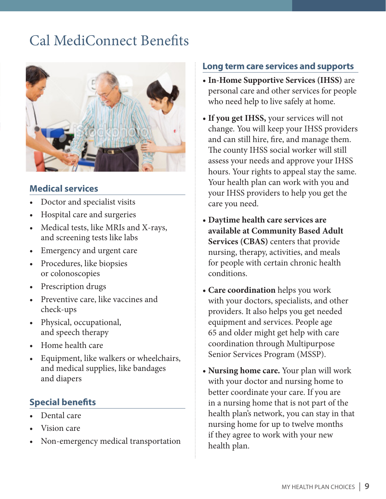### Cal MediConnect Benefits



#### **Medical services**

- Doctor and specialist visits
- Hospital care and surgeries
- Medical tests, like MRIs and X-rays, and screening tests like labs
- Emergency and urgent care
- Procedures, like biopsies or colonoscopies
- Prescription drugs
- Preventive care, like vaccines and check-ups
- Physical, occupational, and speech therapy
- Home health care
- Equipment, like walkers or wheelchairs, and medical supplies, like bandages and diapers

#### **Special benefits**

- Dental care
- Vision care
- Non-emergency medical transportation

#### **Long term care services and supports**

- **• In-Home Supportive Services (IHSS)** are personal care and other services for people who need help to live safely at home.
- If you get IHSS, your services will not change. You will keep your IHSS providers and can still hire, fire, and manage them. The county IHSS social worker will still assess your needs and approve your IHSS hours. Your rights to appeal stay the same. Your health plan can work with you and your IHSS providers to help you get the care you need.
- **• Daytime health care services are available at Community Based Adult Services (CBAS)** centers that provide nursing, therapy, activities, and meals for people with certain chronic health conditions.
- **• Care coordination** helps you work with your doctors, specialists, and other providers. It also helps you get needed equipment and services. People age 65 and older might get help with care coordination through Multipurpose Senior Services Program (MSSP).
- **• Nursing home care.** Your plan will work with your doctor and nursing home to better coordinate your care. If you are in a nursing home that is not part of the health plan's network, you can stay in that nursing home for up to twelve months if they agree to work with your new health plan.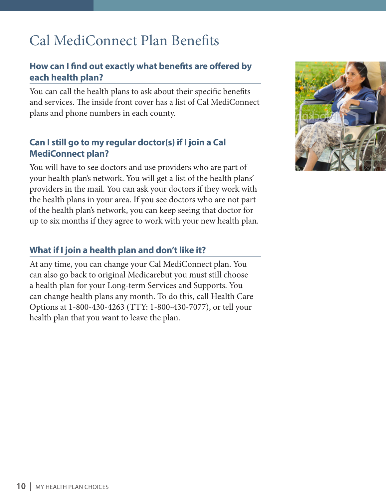### Cal MediConnect Plan Benefits

#### **How can I find out exactly what benefits are offered by each health plan?**

You can call the health plans to ask about their specific benefits and services. The inside front cover has a list of Cal MediConnect plans and phone numbers in each county.

#### **Can I still go to my regular doctor(s) if I join a Cal MediConnect plan?**

You will have to see doctors and use providers who are part of your health plan's network. You will get a list of the health plans' providers in the mail. You can ask your doctors if they work with the health plans in your area. If you see doctors who are not part of the health plan's network, you can keep seeing that doctor for up to six months if they agree to work with your new health plan.

#### **What if I join a health plan and don't like it?**

At any time, you can change your Cal MediConnect plan. You can also go back to original Medicarebut you must still choose a health plan for your Long-term Services and Supports. You can change health plans any month. To do this, call Health Care Options at 1-800-430-4263 (TTY: 1-800-430-7077), or tell your health plan that you want to leave the plan.

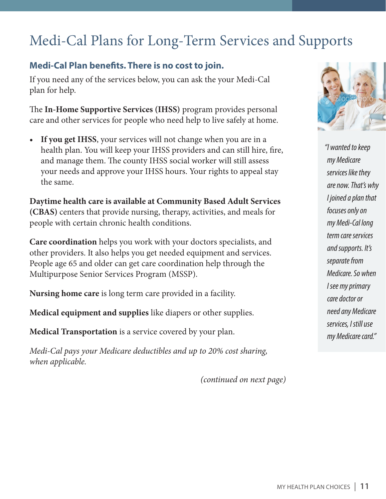### Medi-Cal Plans for Long-Term Services and Supports

#### **Medi-Cal Plan benefits. There is no cost to join.**

If you need any of the services below, you can ask the your Medi-Cal plan for help.

The **In-Home Supportive Services (IHSS)** program provides personal care and other services for people who need help to live safely at home.

**If you get IHSS**, your services will not change when you are in a health plan. You will keep your IHSS providers and can still hire, fire, and manage them. The county IHSS social worker will still assess your needs and approve your IHSS hours. Your rights to appeal stay the same.

**Daytime health care is available at Community Based Adult Services (CBAS)** centers that provide nursing, therapy, activities, and meals for people with certain chronic health conditions.

**Care coordination** helps you work with your doctors specialists, and other providers. It also helps you get needed equipment and services. People age 65 and older can get care coordination help through the Multipurpose Senior Services Program (MSSP).

**Nursing home care** is long term care provided in a facility.

**Medical equipment and supplies** like diapers or other supplies.

**Medical Transportation** is a service covered by your plan.

*Medi-Cal pays your Medicare deductibles and up to 20% cost sharing, when applicable.*

*(continued on next page)*



*"I wanted to keep my Medicare services like they are now. That's why I joined a plan that focuses only on my Medi-Cal long term care services and supports. It's separate from Medicare. So when I see my primary care doctor or need any Medicare services, I still use my Medicare card."*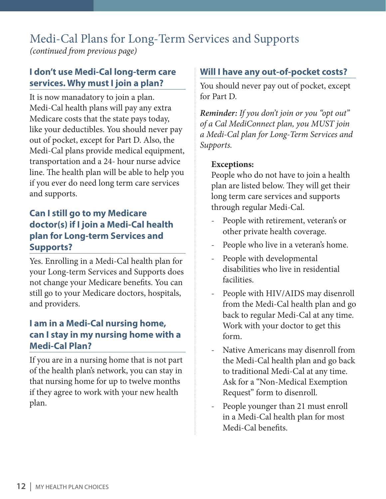## Medi-Cal Plans for Long-Term Services and Supports

*(continued from previous page)*

#### **I don't use Medi-Cal long-term care services. Why must I join a plan?**

It is now manadatory to join a plan. Medi-Cal health plans will pay any extra Medicare costs that the state pays today, like your deductibles. You should never pay out of pocket, except for Part D. Also, the Medi-Cal plans provide medical equipment, transportation and a 24- hour nurse advice line. The health plan will be able to help you if you ever do need long term care services and supports.

#### **Can I still go to my Medicare doctor(s) if I join a Medi-Cal health plan for Long-term Services and Supports?**

Yes. Enrolling in a Medi-Cal health plan for your Long-term Services and Supports does not change your Medicare benefits. You can still go to your Medicare doctors, hospitals, and providers.

#### **I am in a Medi-Cal nursing home, can I stay in my nursing home with a Medi-Cal Plan?**

If you are in a nursing home that is not part of the health plan's network, you can stay in that nursing home for up to twelve months if they agree to work with your new health plan.

#### **Will I have any out-of-pocket costs?**

You should never pay out of pocket, except for Part D.

*Reminder: If you don't join or you "opt out" of a Cal MediConnect plan, you MUST join a Medi-Cal plan for Long-Term Services and Supports.* 

#### **Exceptions:**

People who do not have to join a health plan are listed below. They will get their long term care services and supports through regular Medi-Cal.

- People with retirement, veteran's or other private health coverage.
- People who live in a veteran's home.
- People with developmental disabilities who live in residential facilities.
- People with HIV/AIDS may disenroll from the Medi-Cal health plan and go back to regular Medi-Cal at any time. Work with your doctor to get this form.
- Native Americans may disenroll from the Medi-Cal health plan and go back to traditional Medi-Cal at any time. Ask for a "Non-Medical Exemption Request" form to disenroll.
- People younger than 21 must enroll in a Medi-Cal health plan for most Medi-Cal benefits.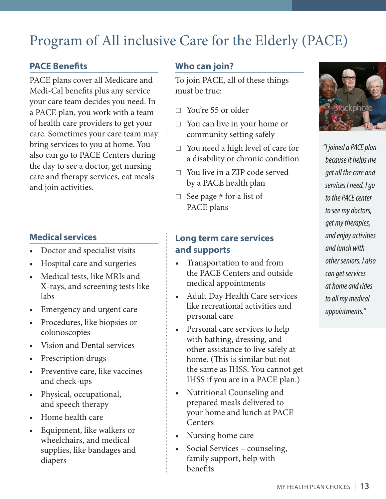## Program of All inclusive Care for the Elderly (PACE)

#### **PACE Benefits**

PACE plans cover all Medicare and Medi-Cal benefits plus any service your care team decides you need. In a PACE plan, you work with a team of health care providers to get your care. Sometimes your care team may bring services to you at home. You also can go to PACE Centers during the day to see a doctor, get nursing care and therapy services, eat meals and join activities.

#### **Medical services**

- Doctor and specialist visits
- Hospital care and surgeries
- Medical tests, like MRIs and X-rays, and screening tests like labs
- Emergency and urgent care
- Procedures, like biopsies or colonoscopies
- Vision and Dental services
- Prescription drugs
- Preventive care, like vaccines and check-ups
- Physical, occupational, and speech therapy
- Home health care
- Equipment, like walkers or wheelchairs, and medical supplies, like bandages and diapers

#### **Who can join?**

To join PACE, all of these things must be true:

- □ You're 55 or older
- $\Box$  You can live in your home or community setting safely
- $\Box$  You need a high level of care for a disability or chronic condition
- $\Box$  You live in a ZIP code served by a PACE health plan
- $\Box$  See page # for a list of PACE plans

#### **Long term care services and supports**

- Transportation to and from the PACE Centers and outside medical appointments
- Adult Day Health Care services like recreational activities and personal care
- Personal care services to help with bathing, dressing, and other assistance to live safely at home. (This is similar but not the same as IHSS. You cannot get IHSS if you are in a PACE plan.)
- Nutritional Counseling and prepared meals delivered to your home and lunch at PACE **Centers**
- Nursing home care
- Social Services counseling, family support, help with benefits



*"I joined a PACE plan because it helps me get all the care and services I need. I go to the PACE center to see my doctors, get my therapies, and enjoy activities and lunch with other seniors. I also can get services at home and rides to all my medical appointments."*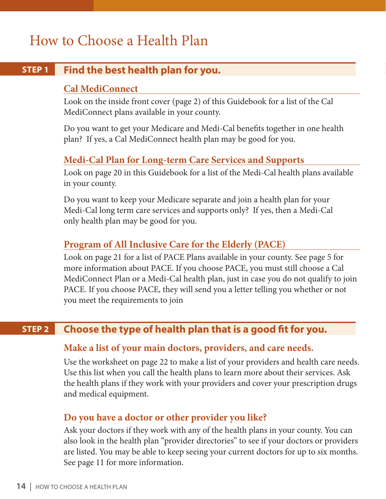### How to Choose a Health Plan

#### **Find the best health plan for you. STEP 1**

#### **Cal MediConnect**

Look on the inside front cover (page 2) of this Guidebook for a list of the Cal MediConnect plans available in your county.

Do you want to get your Medicare and Medi-Cal benefits together in one health plan? If yes, a Cal MediConnect health plan may be good for you.

#### **Medi-Cal Plan for Long-term Care Services and Supports**

Look on page 20 in this Guidebook for a list of the Medi-Cal health plans available in your county.

Do you want to keep your Medicare separate and join a health plan for your Medi-Cal long term care services and supports only? If yes, then a Medi-Cal only health plan may be good for you.

#### **Program of All Inclusive Care for the Elderly (PACE)**

Look on page 21 for a list of PACE Plans available in your county. See page 5 for more information about PACE. If you choose PACE, you must still choose a Cal MediConnect Plan or a Medi-Cal health plan, just in case you do not qualify to join PACE. If you choose PACE, they will send you a letter telling you whether or not you meet the requirements to join

#### **Choose the type of health plan that is a good fit for you. STEP 2**

#### **Make a list of your main doctors, providers, and care needs.**

Use the worksheet on page 22 to make a list of your providers and health care needs. Use this list when you call the health plans to learn more about their services. Ask the health plans if they work with your providers and cover your prescription drugs and medical equipment.

#### **Do you have a doctor or other provider you like?**

Ask your doctors if they work with any of the health plans in your county. You can also look in the health plan "provider directories" to see if your doctors or providers are listed. You may be able to keep seeing your current doctors for up to six months. See page 11 for more information.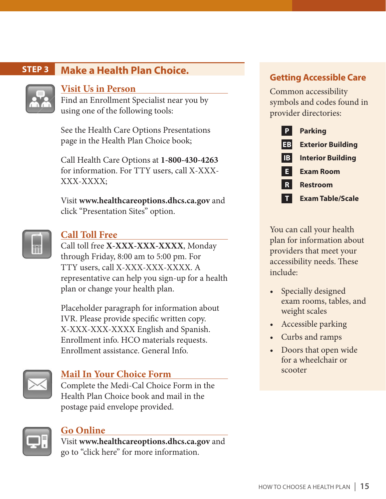#### **Make a Health Plan Choice. STEP 3**



#### **Visit Us in Person**

Find an Enrollment Specialist near you by using one of the following tools:

See the Health Care Options Presentations page in the Health Plan Choice book;

Call Health Care Options at **1-800-430-4263** for information. For TTY users, call X-XXX-XXX-XXXX;

Visit **www.healthcareoptions.dhcs.ca.gov** and click "Presentation Sites" option.



#### **Call Toll Free**

Call toll free **X-XXX-XXX-XXXX**, Monday through Friday, 8:00 am to 5:00 pm. For TTY users, call X-XXX-XXX-XXXX. A representative can help you sign-up for a health plan or change your health plan.

Placeholder paragraph for information about IVR. Please provide specific written copy. X-XXX-XXX-XXXX English and Spanish. Enrollment info. HCO materials requests. Enrollment assistance. General Info.



#### **Mail In Your Choice Form**

Complete the Medi-Cal Choice Form in the Health Plan Choice book and mail in the postage paid envelope provided.



#### **Go Online**

Visit **www.healthcareoptions.dhcs.ca.gov** and go to "click here" for more information.

#### **Getting Accessible Care**

Common accessibility symbols and codes found in provider directories:



You can call your health plan for information about providers that meet your accessibility needs. These include:

- Specially designed exam rooms, tables, and weight scales
- Accessible parking
- Curbs and ramps
- Doors that open wide for a wheelchair or scooter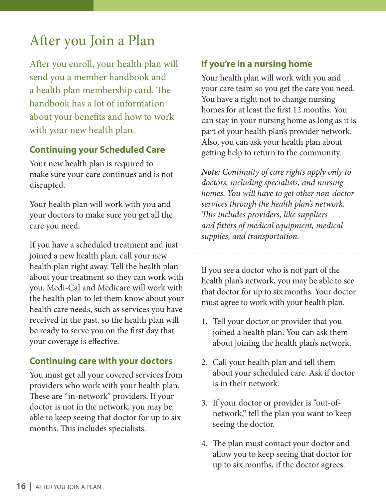### After you Join a Plan

After you enroll, your health plan will send you a member handbook and a health plan membership card. The handbook has a lot of information about your benefits and how to work with your new health plan.

#### **Continuing your Scheduled Care**

Your new health plan is required to make sure your care continues and is not disrupted.

Your health plan will work with you and your doctors to make sure you get all the care you need.

If you have a scheduled treatment and just joined a new health plan, call your new health plan right away. Tell the health plan about your treatment so they can work with you. Medi-Cal and Medicare will work with the health plan to let them know about your health care needs, such as services you have received in the past, so the health plan will be ready to serve you on the first day that your coverage is effective.

#### **Continuing care with your doctors**

You must get all your covered services from providers who work with your health plan. These are "in-network" providers. If your doctor is not in the network, you may be able to keep seeing that doctor for up to six months. This includes specialists.

#### **If you're in a nursing home**

Your health plan will work with you and your care team so you get the care you need. You have a right not to change nursing homes for at least the first 12 months. You can stay in your nursing home as long as it is part of your health plan's provider network. Also, you can ask your health plan about getting help to return to the community.

*Note: Continuity of care rights apply only to doctors, including specialists, and nursing homes. You will have to get other non-doctor services through the health plan's network. This includes providers, like suppliers and fitters of medical equipment, medical supplies, and transportation.*

If you see a doctor who is not part of the health plan's network, you may be able to see that doctor for up to six months. Your doctor must agree to work with your health plan.

- 1. Tell your doctor or provider that you joined a health plan. You can ask them about joining the health plan's network.
- 2. Call your health plan and tell them about your scheduled care. Ask if doctor is in their network.
- 3. If your doctor or provider is "out-ofnetwork," tell the plan you want to keep seeing the doctor.
- 4. The plan must contact your doctor and allow you to keep seeing that doctor for up to six months, if the doctor agrees.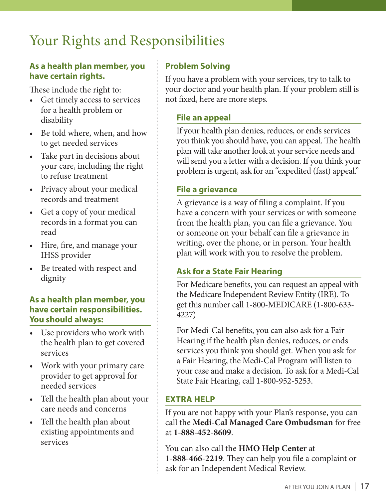### Your Rights and Responsibilities

#### **As a health plan member, you have certain rights.**

These include the right to:

- Get timely access to services for a health problem or disability
- Be told where, when, and how to get needed services
- Take part in decisions about your care, including the right to refuse treatment
- Privacy about your medical records and treatment
- Get a copy of your medical records in a format you can read
- Hire, fire, and manage your IHSS provider
- Be treated with respect and dignity

#### **As a health plan member, you have certain responsibilities. You should always:**

- Use providers who work with the health plan to get covered services
- Work with your primary care provider to get approval for needed services
- Tell the health plan about your care needs and concerns
- Tell the health plan about existing appointments and services

#### **Problem Solving**

If you have a problem with your services, try to talk to your doctor and your health plan. If your problem still is not fixed, here are more steps.

#### **File an appeal**

If your health plan denies, reduces, or ends services you think you should have, you can appeal. The health plan will take another look at your service needs and will send you a letter with a decision. If you think your problem is urgent, ask for an "expedited (fast) appeal."

#### **File a grievance**

A grievance is a way of filing a complaint. If you have a concern with your services or with someone from the health plan, you can file a grievance. You or someone on your behalf can file a grievance in writing, over the phone, or in person. Your health plan will work with you to resolve the problem.

#### **Ask for a State Fair Hearing**

For Medicare benefits, you can request an appeal with the Medicare Independent Review Entity (IRE). To get this number call 1-800-MEDICARE (1-800-633- 4227)

For Medi-Cal benefits, you can also ask for a Fair Hearing if the health plan denies, reduces, or ends services you think you should get. When you ask for a Fair Hearing, the Medi-Cal Program will listen to your case and make a decision. To ask for a Medi-Cal State Fair Hearing, call 1-800-952-5253.

#### **EXTRA HELP**

If you are not happy with your Plan's response, you can call the **Medi-Cal Managed Care Ombudsman** for free at **1-888-452-8609**.

You can also call the **HMO Help Center** at **1-888-466-2219**. They can help you file a complaint or ask for an Independent Medical Review.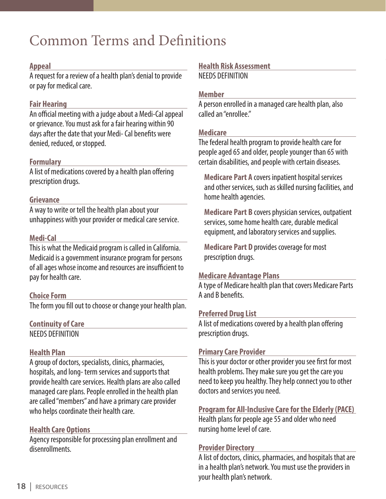### Common Terms and Definitions

#### **Appeal**

A request for a review of a health plan's denial to provide or pay for medical care.

#### **Fair Hearing**

An official meeting with a judge about a Medi-Cal appeal or grievance. You must ask for a fair hearing within 90 days after the date that your Medi- Cal benefits were denied, reduced, or stopped.

#### **Formulary**

A list of medications covered by a health plan offering prescription drugs.

#### **Grievance**

A way to write or tell the health plan about your unhappiness with your provider or medical care service.

#### **Medi-Cal**

This is what the Medicaid program is called in California. Medicaid is a government insurance program for persons of all ages whose income and resources are insufficient to pay for health care.

#### **Choice Form**

The form you fill out to choose or change your health plan.

**Continuity of Care** NEEDS DEFINITION

#### **Health Plan**

A group of doctors, specialists, clinics, pharmacies, hospitals, and long- term services and supports that provide health care services. Health plans are also called managed care plans. People enrolled in the health plan are called "members" and have a primary care provider who helps coordinate their health care.

#### **Health Care Options**

Agency responsible for processing plan enrollment and disenrollments.

#### **Health Risk Assessment**

NEEDS DEFINITION

#### **Member**

A person enrolled in a managed care health plan, also called an "enrollee."

#### **Medicare**

The federal health program to provide health care for people aged 65 and older, people younger than 65 with certain disabilities, and people with certain diseases.

**Medicare Part A** covers inpatient hospital services and other services, such as skilled nursing facilities, and home health agencies.

**Medicare Part B** covers physician services, outpatient services, some home health care, durable medical equipment, and laboratory services and supplies.

**Medicare Part D** provides coverage for most prescription drugs.

#### **Medicare Advantage Plans**

A type of Medicare health plan that covers Medicare Parts A and B benefits.

#### **Preferred Drug List**

A list of medications covered by a health plan offering prescription drugs.

#### **Primary Care Provider**

This is your doctor or other provider you see first for most health problems. They make sure you get the care you need to keep you healthy. They help connect you to other doctors and services you need.

#### **Program for All-Inclusive Care for the Elderly (PACE)**

Health plans for people age 55 and older who need nursing home level of care.

#### **Provider Directory**

A list of doctors, clinics, pharmacies, and hospitals that are in a health plan's network. You must use the providers in your health plan's network.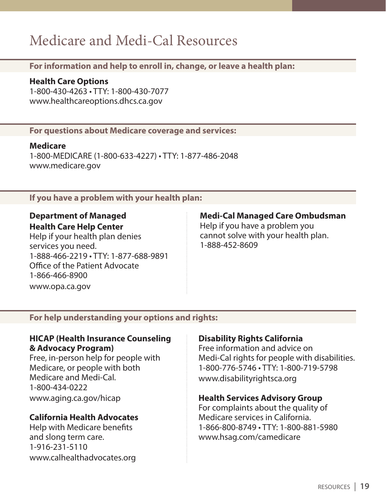### Medicare and Medi-Cal Resources

**For information and help to enroll in, change, or leave a health plan:**

**Health Care Options**

1-800-430-4263 • TTY: 1-800-430-7077 www.healthcareoptions.dhcs.ca.gov

**For questions about Medicare coverage and services:**

**Medicare**

1-800-MEDICARE (1-800-633-4227) • TTY: 1-877-486-2048 www.medicare.gov

**If you have a problem with your health plan:**

#### **Department of Managed Health Care Help Center**

Help if your health plan denies services you need. 1-888-466-2219 • TTY: 1-877-688-9891 Office of the Patient Advocate 1-866-466-8900 www.opa.ca.gov

#### **Medi-Cal Managed Care Ombudsman**

Help if you have a problem you cannot solve with your health plan. 1-888-452-8609

#### **For help understanding your options and rights:**

#### **HICAP (Health Insurance Counseling & Advocacy Program)**

Free, in-person help for people with Medicare, or people with both Medicare and Medi-Cal. 1-800-434-0222 www.aging.ca.gov/hicap

#### **California Health Advocates**

Help with Medicare benefits and slong term care. 1-916-231-5110 www.calhealthadvocates.org

#### **Disability Rights California**

Free information and advice on Medi-Cal rights for people with disabilities. 1-800-776-5746 • TTY: 1-800-719-5798 www.disabilityrightsca.org

#### **Health Services Advisory Group**

For complaints about the quality of Medicare services in California. 1-866-800-8749 • TTY: 1-800-881-5980 www.hsag.com/camedicare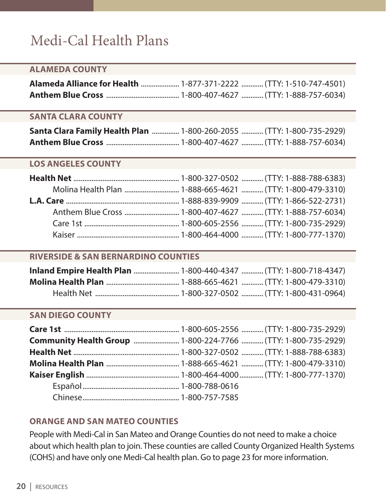### Medi-Cal Health Plans

#### **ALAMEDA COUNTY**

#### **SANTA CLARA COUNTY**

| Santa Clara Family Health Plan  1-800-260-2055  (TTY: 1-800-735-2929) |  |
|-----------------------------------------------------------------------|--|
|                                                                       |  |

#### **LOS ANGELES COUNTY**

#### **RIVERSIDE & SAN BERNARDINO COUNTIES**

#### **SAN DIEGO COUNTY**

| <b>Community Health Group </b> 1-800-224-7766  (TTY: 1-800-735-2929) |
|----------------------------------------------------------------------|
|                                                                      |
|                                                                      |
|                                                                      |
|                                                                      |
|                                                                      |

#### **ORANGE AND SAN MATEO COUNTIES**

People with Medi-Cal in San Mateo and Orange Counties do not need to make a choice about which health plan to join. These counties are called County Organized Health Systems (COHS) and have only one Medi-Cal health plan. Go to page 23 for more information.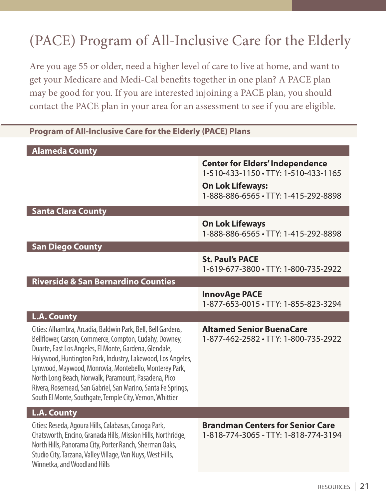## (PACE) Program of All-Inclusive Care for the Elderly

Are you age 55 or older, need a higher level of care to live at home, and want to get your Medicare and Medi-Cal benefits together in one plan? A PACE plan may be good for you. If you are interested injoining a PACE plan, you should contact the PACE plan in your area for an assessment to see if you are eligible.

#### **Program of All-Inclusive Care for the Elderly (PACE) Plans**

| <b>Alameda County</b>                                                                                                                                                                                                                                                                                                                                                                                                                                                                         |                                                                                 |
|-----------------------------------------------------------------------------------------------------------------------------------------------------------------------------------------------------------------------------------------------------------------------------------------------------------------------------------------------------------------------------------------------------------------------------------------------------------------------------------------------|---------------------------------------------------------------------------------|
|                                                                                                                                                                                                                                                                                                                                                                                                                                                                                               | <b>Center for Elders' Independence</b><br>1-510-433-1150 · TTY: 1-510-433-1165  |
|                                                                                                                                                                                                                                                                                                                                                                                                                                                                                               | <b>On Lok Lifeways:</b><br>1-888-886-6565 · TTY: 1-415-292-8898                 |
| <b>Santa Clara County</b>                                                                                                                                                                                                                                                                                                                                                                                                                                                                     |                                                                                 |
|                                                                                                                                                                                                                                                                                                                                                                                                                                                                                               | <b>On Lok Lifeways</b><br>1-888-886-6565 · TTY: 1-415-292-8898                  |
| <b>San Diego County</b>                                                                                                                                                                                                                                                                                                                                                                                                                                                                       |                                                                                 |
|                                                                                                                                                                                                                                                                                                                                                                                                                                                                                               | <b>St. Paul's PACE</b><br>1-619-677-3800 · TTY: 1-800-735-2922                  |
| <b>Riverside &amp; San Bernardino Counties</b>                                                                                                                                                                                                                                                                                                                                                                                                                                                |                                                                                 |
|                                                                                                                                                                                                                                                                                                                                                                                                                                                                                               | <b>InnovAge PACE</b><br>1-877-653-0015 · TTY: 1-855-823-3294                    |
| <b>L.A. County</b>                                                                                                                                                                                                                                                                                                                                                                                                                                                                            |                                                                                 |
| Cities: Alhambra, Arcadia, Baldwin Park, Bell, Bell Gardens,<br>Bellflower, Carson, Commerce, Compton, Cudahy, Downey,<br>Duarte, East Los Angeles, El Monte, Gardena, Glendale,<br>Holywood, Huntington Park, Industry, Lakewood, Los Angeles,<br>Lynwood, Maywood, Monrovia, Montebello, Monterey Park,<br>North Long Beach, Norwalk, Paramount, Pasadena, Pico<br>Rivera, Rosemead, San Gabriel, San Marino, Santa Fe Springs,<br>South El Monte, Southgate, Temple City, Vernon, Whittier | <b>Altamed Senior BuenaCare</b><br>1-877-462-2582 · TTY: 1-800-735-2922         |
| <b>L.A. County</b>                                                                                                                                                                                                                                                                                                                                                                                                                                                                            |                                                                                 |
| Cities: Reseda, Agoura Hills, Calabasas, Canoga Park,<br>Chatsworth, Encino, Granada Hills, Mission Hills, Northridge,<br>North Hills, Panorama City, Porter Ranch, Sherman Oaks,<br>Studio City, Tarzana, Valley Village, Van Nuys, West Hills,<br>Winnetka, and Woodland Hills                                                                                                                                                                                                              | <b>Brandman Centers for Senior Care</b><br>1-818-774-3065 - TTY: 1-818-774-3194 |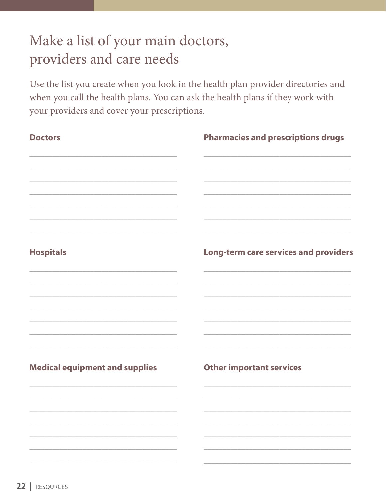### Make a list of your main doctors, providers and care needs

Use the list you create when you look in the health plan provider directories and when you call the health plans. You can ask the health plans if they work with your providers and cover your prescriptions.

| <b>Doctors</b>                        | <b>Pharmacies and prescriptions drugs</b> |  |
|---------------------------------------|-------------------------------------------|--|
|                                       |                                           |  |
|                                       |                                           |  |
|                                       |                                           |  |
| <b>Hospitals</b>                      | Long-term care services and providers     |  |
|                                       |                                           |  |
|                                       |                                           |  |
| <b>Medical equipment and supplies</b> | <b>Other important services</b>           |  |
|                                       |                                           |  |
|                                       |                                           |  |
|                                       |                                           |  |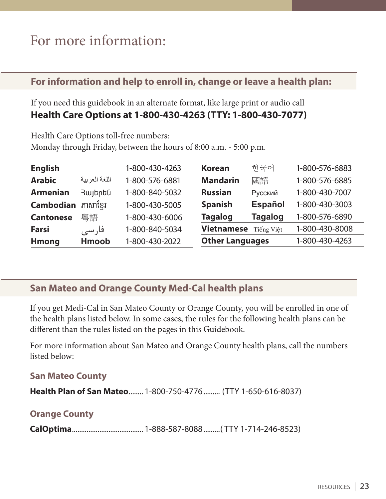### For more information:

#### **For information and help to enroll in, change or leave a health plan:**

If you need this guidebook in an alternate format, like large print or audio call **Health Care Options at 1-800-430-4263 (TTY: 1-800-430-7077)**

Health Care Options toll-free numbers: Monday through Friday, between the hours of 8:00 a.m. - 5:00 p.m.

| <b>English</b>   |               | 1-800-430-4263 | <b>Korean</b>          | 하국어            | 1-800-576-6883 |
|------------------|---------------|----------------|------------------------|----------------|----------------|
| <b>Arabic</b>    | اللغة العربية | 1-800-576-6881 | <b>Mandarin</b>        | 國語             | 1-800-576-6885 |
| <b>Armenian</b>  | Յայերեն       | 1-800-840-5032 | <b>Russian</b>         | Русский        | 1-800-430-7007 |
| <b>Cambodian</b> | ភាសាខែរ       | 1-800-430-5005 | <b>Spanish</b>         | <b>Español</b> | 1-800-430-3003 |
| <b>Cantonese</b> | 粵語            | 1-800-430-6006 | <b>Tagalog</b>         | <b>Tagalog</b> | 1-800-576-6890 |
| <b>Farsi</b>     | فار سے        | 1-800-840-5034 | <b>Vietnamese</b>      | Tiếng Việt     | 1-800-430-8008 |
| <b>Hmong</b>     | <b>Hmoob</b>  | 1-800-430-2022 | <b>Other Languages</b> |                | 1-800-430-4263 |

#### **San Mateo and Orange County Med-Cal health plans**

If you get Medi-Cal in San Mateo County or Orange County, you will be enrolled in one of the health plans listed below. In some cases, the rules for the following health plans can be different than the rules listed on the pages in this Guidebook.

For more information about San Mateo and Orange County health plans, call the numbers listed below:

#### **San Mateo County**

**Health Plan of San Mateo**........ 1-800-750-4776......... (TTY 1-650-616-8037)

#### **Orange County**

**CalOptima**....................................... 1-888-587-8088.........( TTY 1-714-246-8523)